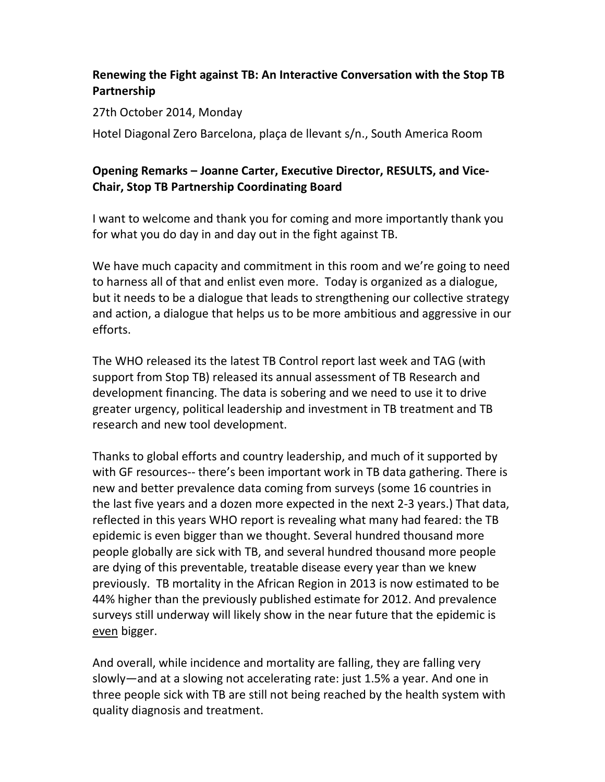## Renewing the Fight against TB: An Interactive Conversation with the Stop TB Partnership

## 27th October 2014, Monday

Hotel Diagonal Zero Barcelona, plaça de llevant s/n., South America Room

## Opening Remarks – Joanne Carter, Executive Director, RESULTS, and Vice-Chair, Stop TB Partnership Coordinating Board

I want to welcome and thank you for coming and more importantly thank you for what you do day in and day out in the fight against TB.

We have much capacity and commitment in this room and we're going to need to harness all of that and enlist even more. Today is organized as a dialogue, but it needs to be a dialogue that leads to strengthening our collective strategy and action, a dialogue that helps us to be more ambitious and aggressive in our efforts.

The WHO released its the latest TB Control report last week and TAG (with support from Stop TB) released its annual assessment of TB Research and development financing. The data is sobering and we need to use it to drive greater urgency, political leadership and investment in TB treatment and TB research and new tool development.

Thanks to global efforts and country leadership, and much of it supported by with GF resources-- there's been important work in TB data gathering. There is new and better prevalence data coming from surveys (some 16 countries in the last five years and a dozen more expected in the next 2-3 years.) That data, reflected in this years WHO report is revealing what many had feared: the TB epidemic is even bigger than we thought. Several hundred thousand more people globally are sick with TB, and several hundred thousand more people are dying of this preventable, treatable disease every year than we knew previously. TB mortality in the African Region in 2013 is now estimated to be 44% higher than the previously published estimate for 2012. And prevalence surveys still underway will likely show in the near future that the epidemic is even bigger.

And overall, while incidence and mortality are falling, they are falling very slowly—and at a slowing not accelerating rate: just 1.5% a year. And one in three people sick with TB are still not being reached by the health system with quality diagnosis and treatment.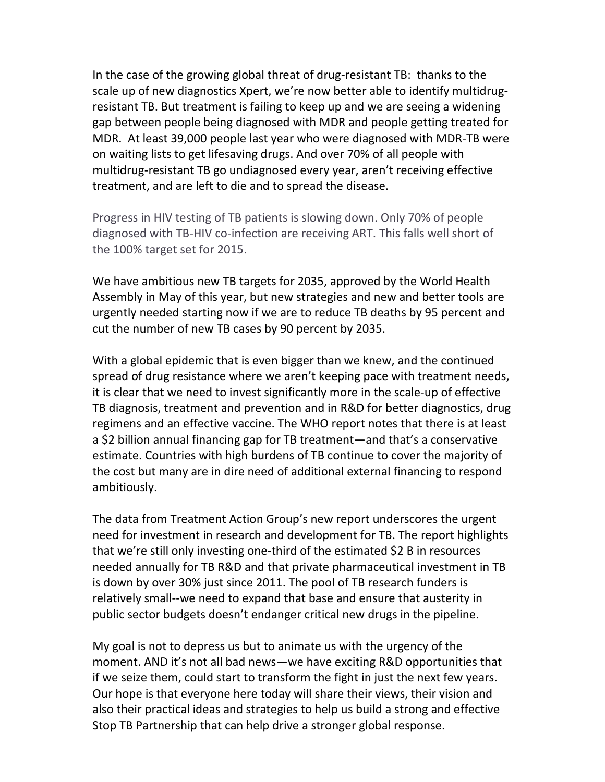In the case of the growing global threat of drug-resistant TB: thanks to the scale up of new diagnostics Xpert, we're now better able to identify multidrugresistant TB. But treatment is failing to keep up and we are seeing a widening gap between people being diagnosed with MDR and people getting treated for MDR. At least 39,000 people last year who were diagnosed with MDR-TB were on waiting lists to get lifesaving drugs. And over 70% of all people with multidrug-resistant TB go undiagnosed every year, aren't receiving effective treatment, and are left to die and to spread the disease.

Progress in HIV testing of TB patients is slowing down. Only 70% of people diagnosed with TB-HIV co-infection are receiving ART. This falls well short of the 100% target set for 2015.

We have ambitious new TB targets for 2035, approved by the World Health Assembly in May of this year, but new strategies and new and better tools are urgently needed starting now if we are to reduce TB deaths by 95 percent and cut the number of new TB cases by 90 percent by 2035.

With a global epidemic that is even bigger than we knew, and the continued spread of drug resistance where we aren't keeping pace with treatment needs, it is clear that we need to invest significantly more in the scale-up of effective TB diagnosis, treatment and prevention and in R&D for better diagnostics, drug regimens and an effective vaccine. The WHO report notes that there is at least a \$2 billion annual financing gap for TB treatment—and that's a conservative estimate. Countries with high burdens of TB continue to cover the majority of the cost but many are in dire need of additional external financing to respond ambitiously.

The data from Treatment Action Group's new report underscores the urgent need for investment in research and development for TB. The report highlights that we're still only investing one-third of the estimated \$2 B in resources needed annually for TB R&D and that private pharmaceutical investment in TB is down by over 30% just since 2011. The pool of TB research funders is relatively small--we need to expand that base and ensure that austerity in public sector budgets doesn't endanger critical new drugs in the pipeline.

My goal is not to depress us but to animate us with the urgency of the moment. AND it's not all bad news—we have exciting R&D opportunities that if we seize them, could start to transform the fight in just the next few years. Our hope is that everyone here today will share their views, their vision and also their practical ideas and strategies to help us build a strong and effective Stop TB Partnership that can help drive a stronger global response.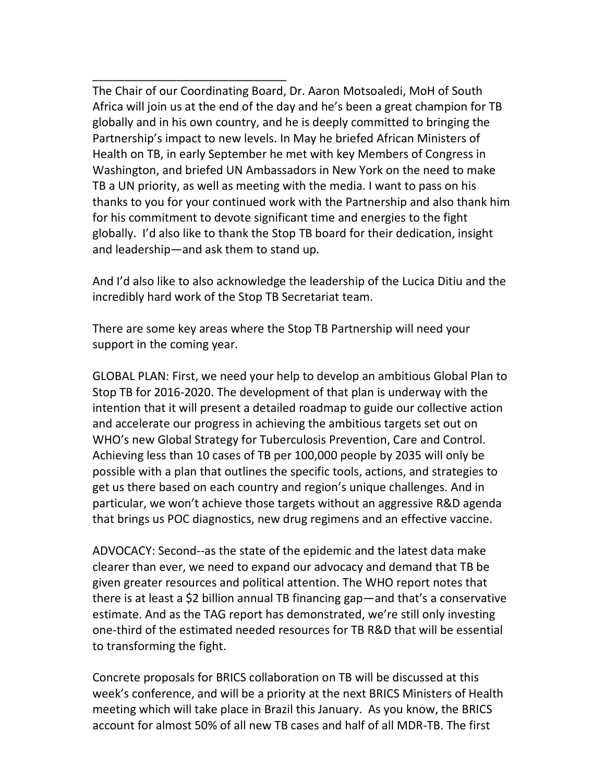The Chair of our Coordinating Board, Dr. Aaron Motsoaledi, MoH of South Africa will join us at the end of the day and he's been a great champion for TB globally and in his own country, and he is deeply committed to bringing the Partnership's impact to new levels. In May he briefed African Ministers of Health on TB, in early September he met with key Members of Congress in Washington, and briefed UN Ambassadors in New York on the need to make TB a UN priority, as well as meeting with the media. I want to pass on his thanks to you for your continued work with the Partnership and also thank him for his commitment to devote significant time and energies to the fight globally. I'd also like to thank the Stop TB board for their dedication, insight and leadership—and ask them to stand up.

\_\_\_\_\_\_\_\_\_\_\_\_\_\_\_\_\_\_\_\_\_\_\_\_\_\_\_\_\_\_

And I'd also like to also acknowledge the leadership of the Lucica Ditiu and the incredibly hard work of the Stop TB Secretariat team.

There are some key areas where the Stop TB Partnership will need your support in the coming year.

GLOBAL PLAN: First, we need your help to develop an ambitious Global Plan to Stop TB for 2016-2020. The development of that plan is underway with the intention that it will present a detailed roadmap to guide our collective action and accelerate our progress in achieving the ambitious targets set out on WHO's new Global Strategy for Tuberculosis Prevention, Care and Control. Achieving less than 10 cases of TB per 100,000 people by 2035 will only be possible with a plan that outlines the specific tools, actions, and strategies to get us there based on each country and region's unique challenges. And in particular, we won't achieve those targets without an aggressive R&D agenda that brings us POC diagnostics, new drug regimens and an effective vaccine.

ADVOCACY: Second--as the state of the epidemic and the latest data make clearer than ever, we need to expand our advocacy and demand that TB be given greater resources and political attention. The WHO report notes that there is at least a \$2 billion annual TB financing gap—and that's a conservative estimate. And as the TAG report has demonstrated, we're still only investing one-third of the estimated needed resources for TB R&D that will be essential to transforming the fight.

Concrete proposals for BRICS collaboration on TB will be discussed at this week's conference, and will be a priority at the next BRICS Ministers of Health meeting which will take place in Brazil this January. As you know, the BRICS account for almost 50% of all new TB cases and half of all MDR-TB. The first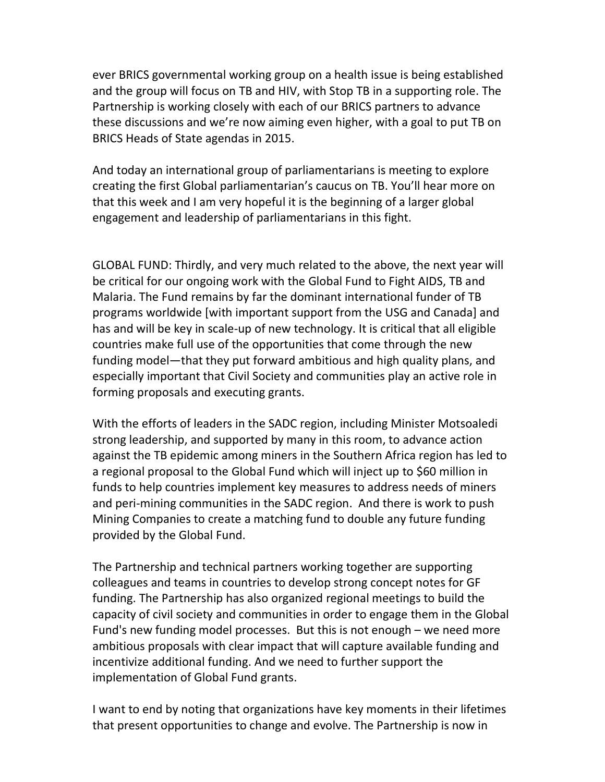ever BRICS governmental working group on a health issue is being established and the group will focus on TB and HIV, with Stop TB in a supporting role. The Partnership is working closely with each of our BRICS partners to advance these discussions and we're now aiming even higher, with a goal to put TB on BRICS Heads of State agendas in 2015.

And today an international group of parliamentarians is meeting to explore creating the first Global parliamentarian's caucus on TB. You'll hear more on that this week and I am very hopeful it is the beginning of a larger global engagement and leadership of parliamentarians in this fight.

GLOBAL FUND: Thirdly, and very much related to the above, the next year will be critical for our ongoing work with the Global Fund to Fight AIDS, TB and Malaria. The Fund remains by far the dominant international funder of TB programs worldwide [with important support from the USG and Canada] and has and will be key in scale-up of new technology. It is critical that all eligible countries make full use of the opportunities that come through the new funding model—that they put forward ambitious and high quality plans, and especially important that Civil Society and communities play an active role in forming proposals and executing grants.

With the efforts of leaders in the SADC region, including Minister Motsoaledi strong leadership, and supported by many in this room, to advance action against the TB epidemic among miners in the Southern Africa region has led to a regional proposal to the Global Fund which will inject up to \$60 million in funds to help countries implement key measures to address needs of miners and peri-mining communities in the SADC region. And there is work to push Mining Companies to create a matching fund to double any future funding provided by the Global Fund.

The Partnership and technical partners working together are supporting colleagues and teams in countries to develop strong concept notes for GF funding. The Partnership has also organized regional meetings to build the capacity of civil society and communities in order to engage them in the Global Fund's new funding model processes. But this is not enough – we need more ambitious proposals with clear impact that will capture available funding and incentivize additional funding. And we need to further support the implementation of Global Fund grants.

I want to end by noting that organizations have key moments in their lifetimes that present opportunities to change and evolve. The Partnership is now in